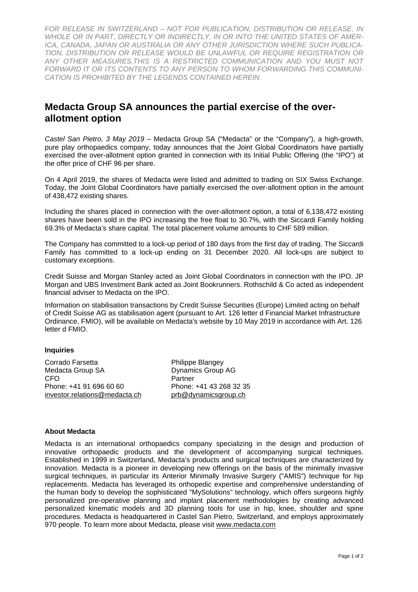*FOR RELEASE IN SWITZERLAND – NOT FOR PUBLICATION, DISTRIBUTION OR RELEASE, IN WHOLE OR IN PART, DIRECTLY OR INDIRECTLY, IN OR INTO THE UNITED STATES OF AMER-ICA, CANADA, JAPAN OR AUSTRALIA OR ANY OTHER JURISDICTION WHERE SUCH PUBLICA-TION, DISTRIBUTION OR RELEASE WOULD BE UNLAWFUL OR REQUIRE REGISTRATION OR ANY OTHER MEASURES.THIS IS A RESTRICTED COMMUNICATION AND YOU MUST NOT FORWARD IT OR ITS CONTENTS TO ANY PERSON TO WHOM FORWARDING THIS COMMUNI-CATION IS PROHIBITED BY THE LEGENDS CONTAINED HEREIN.* 

## **Medacta Group SA announces the partial exercise of the overallotment option**

*Castel San Pietro, 3 May 2019 –* Medacta Group SA ("Medacta" or the "Company"), a high-growth, pure play orthopaedics company, today announces that the Joint Global Coordinators have partially exercised the over-allotment option granted in connection with its Initial Public Offering (the "IPO") at the offer price of CHF 96 per share.

On 4 April 2019, the shares of Medacta were listed and admitted to trading on SIX Swiss Exchange. Today, the Joint Global Coordinators have partially exercised the over-allotment option in the amount of 438,472 existing shares.

Including the shares placed in connection with the over-allotment option, a total of 6,138,472 existing shares have been sold in the IPO increasing the free float to 30.7%, with the Siccardi Family holding 69.3% of Medacta's share capital. The total placement volume amounts to CHF 589 million.

The Company has committed to a lock-up period of 180 days from the first day of trading. The Siccardi Family has committed to a lock-up ending on 31 December 2020. All lock-ups are subject to customary exceptions.

Credit Suisse and Morgan Stanley acted as Joint Global Coordinators in connection with the IPO. JP Morgan and UBS Investment Bank acted as Joint Bookrunners. Rothschild & Co acted as independent financial adviser to Medacta on the IPO.

Information on stabilisation transactions by Credit Suisse Securities (Europe) Limited acting on behalf of Credit Suisse AG as stabilisation agent (pursuant to Art. 126 letter d Financial Market Infrastructure Ordinance, FMIO), will be available on Medacta's website by 10 May 2019 in accordance with Art. 126 letter d FMIO.

## **Inquiries**

Corrado Farsetta **Philippe Blangey** Medacta Group SA Dynamics Group AG CFO Partner Phone: +41 91 696 60 60 Phone: +41 43 268 32 35 investor.relations@medacta.ch prob@dynamicsgroup.ch

## **About Medacta**

Medacta is an international orthopaedics company specializing in the design and production of innovative orthopaedic products and the development of accompanying surgical techniques. Established in 1999 in Switzerland, Medacta's products and surgical techniques are characterized by innovation. Medacta is a pioneer in developing new offerings on the basis of the minimally invasive surgical techniques, in particular its Anterior Minimally Invasive Surgery ("AMIS") technique for hip replacements. Medacta has leveraged its orthopedic expertise and comprehensive understanding of the human body to develop the sophisticated "MySolutions" technology, which offers surgeons highly personalized pre-operative planning and implant placement methodologies by creating advanced personalized kinematic models and 3D planning tools for use in hip, knee, shoulder and spine procedures. Medacta is headquartered in Castel San Pietro, Switzerland, and employs approximately 970 people. To learn more about Medacta, please visit www.medacta.com